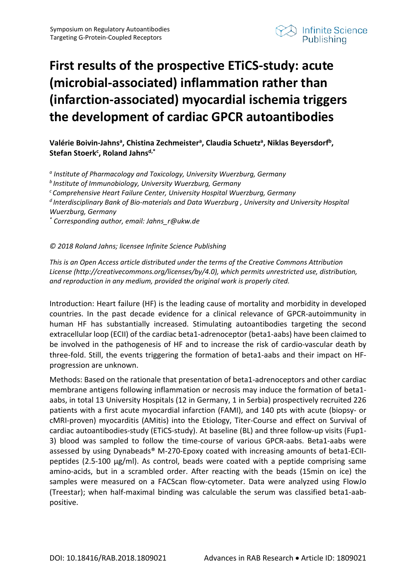

## **First results of the prospective ETiCS-study: acute (microbial-associated) inflammation rather than (infarction-associated) myocardial ischemia triggers the development of cardiac GPCR autoantibodies**

## Valérie Boivin-Jahns<sup>a</sup>, Chistina Zechmeister<sup>a</sup>, Claudia Schuetz<sup>a</sup>, Niklas Beyersdorf<sup>b</sup>, Stefan Stoerk<sup>c</sup>, Roland Jahns<sup>d,\*</sup>

*<sup>a</sup> Institute of Pharmacology and Toxicology, University Wuerzburg, Germany b Institute of Immunobiology, University Wuerzburg, Germany c Comprehensive Heart Failure Center, University Hospital Wuerzburg, Germany d Interdisciplinary Bank of Bio-materials and Data Wuerzburg , University and University Hospital Wuerzburg, Germany \* Corresponding author, email: Jahns\_r@ukw.de*

## *© 2018 Roland Jahns; licensee Infinite Science Publishing*

*This is an Open Access article distributed under the terms of the Creative Commons Attribution License (http://creativecommons.org/licenses/by/4.0), which permits unrestricted use, distribution, and reproduction in any medium, provided the original work is properly cited.*

Introduction: Heart failure (HF) is the leading cause of mortality and morbidity in developed countries. In the past decade evidence for a clinical relevance of GPCR-autoimmunity in human HF has substantially increased. Stimulating autoantibodies targeting the second extracellular loop (ECII) of the cardiac beta1-adrenoceptor (beta1-aabs) have been claimed to be involved in the pathogenesis of HF and to increase the risk of cardio-vascular death by three-fold. Still, the events triggering the formation of beta1-aabs and their impact on HFprogression are unknown.

Methods: Based on the rationale that presentation of beta1-adrenoceptors and other cardiac membrane antigens following inflammation or necrosis may induce the formation of beta1 aabs, in total 13 University Hospitals (12 in Germany, 1 in Serbia) prospectively recruited 226 patients with a first acute myocardial infarction (FAMI), and 140 pts with acute (biopsy- or cMRI-proven) myocarditis (AMitis) into the Etiology, Titer-Course and effect on Survival of cardiac autoantibodies-study (ETiCS-study). At baseline (BL) and three follow-up visits (Fup1- 3) blood was sampled to follow the time-course of various GPCR-aabs. Beta1-aabs were assessed by using Dynabeads® M-270-Epoxy coated with increasing amounts of beta1-ECIIpeptides  $(2.5{\text -}100 \text{ µg/ml})$ . As control, beads were coated with a peptide comprising same amino-acids, but in a scrambled order. After reacting with the beads (15min on ice) the samples were measured on a FACScan flow-cytometer. Data were analyzed using FlowJo (Treestar); when half-maximal binding was calculable the serum was classified beta1-aabpositive.